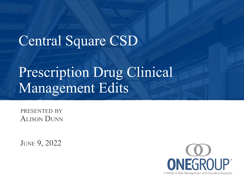### Central Square CSD

### Prescription Drug Clinical Management Edits

ALISON DUNN PRESENTED BY

JUNE 9, 2022

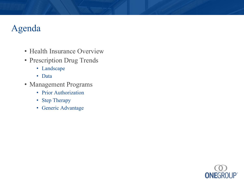### Agenda

- Health Insurance Overview
- Prescription Drug Trends
	- Landscape
	- Data
- Management Programs
	- Prior Authorization
	- Step Therapy
	- Generic Advantage

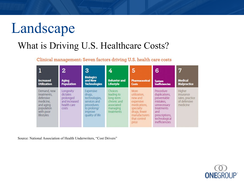# Landscape

### What is Driving U.S. Healthcare Costs?

#### Clinical management: Seven factors driving U.S. health care costs

|                                                                                                            | 2                                                                           | 3                                                                                                                      | 4                                                                                         | 5                                                                                                                                                | 6                                                                                                                                                      | 7                                                                  |
|------------------------------------------------------------------------------------------------------------|-----------------------------------------------------------------------------|------------------------------------------------------------------------------------------------------------------------|-------------------------------------------------------------------------------------------|--------------------------------------------------------------------------------------------------------------------------------------------------|--------------------------------------------------------------------------------------------------------------------------------------------------------|--------------------------------------------------------------------|
| <b>Increased</b><br><b>Utilization</b>                                                                     | <b>Aging</b><br><b>Population</b>                                           | <b>Biologics</b><br>and New<br><b>Technologies</b>                                                                     | <b>Behavior and</b><br><b>Lifestyle</b>                                                   | <b>Pharmaceutical</b><br><b>Costs</b>                                                                                                            | System<br>Inefficiencies                                                                                                                               | <b>Medical</b><br><b>Malpractice</b>                               |
| Demand, new<br>treatments,<br>defensive<br>medicine.<br>and aging<br>population<br>with poor<br>lifestyles | Longevity<br>dictates<br>prolonged<br>and increased<br>health care<br>costs | Expensive<br>drugs.<br>technologies,<br>services and<br>procedures<br>to prolong/<br><i>improve</i><br>quality of life | Choices<br>leading to<br>long-term<br>chronic and<br>associated<br>managing<br>treatments | More<br>utilization,<br>new and<br>expensive<br>medications,<br>specialty<br>drugs, fewer<br>manufacturers <sup>®</sup><br>that control<br>price | Procedure<br>duplications,<br>preventable<br>mistakes.<br>unnecessary<br>treatments<br>and<br>prescriptions,<br>technological<br><i>inefficiencies</i> | Higher<br>insurance<br>rates, practice<br>of defensive<br>medicine |

Source: National Association of Health Underwriters, "Cost Drivers"

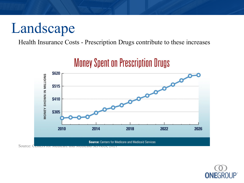# Landscape

Health Insurance Costs - Prescription Drugs contribute to these increases



### **Money Spent on Prescription Drugs**

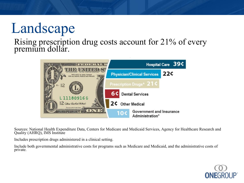# Landscape

#### Rising prescription drug costs account for 21% of every premium dollar.



Sources: National Health Expenditure Data, Centers for Medicare and Medicaid Services, Agency for Healthcare Research and Quality (AHRQ), IMS Institute

Includes prescription drugs administered in a clinical setting.

Include both governmental administrative costs for programs such as Medicare and Medicaid, and the administrative costs of private.

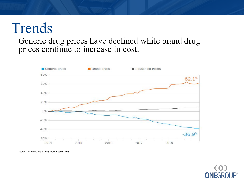## Trends

#### Generic drug prices have declined while brand drug prices continue to increase in cost.



Source – Express Scripts Drug Trend Report, 2018

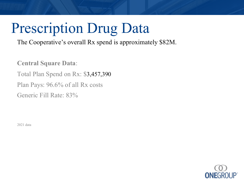# Prescription Drug Data

The Cooperative's overall Rx spend is approximately \$82M.

**Central Square Data**: Total Plan Spend on Rx: \$3,457,390 Plan Pays: 96.6% of all Rx costs Generic Fill Rate: 83%

2021 data

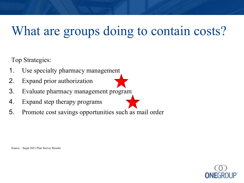### What are groups doing to contain costs?

Top Strategies:

- 1. Use specialty pharmacy management
- 2. Expand prior authorization
- 3. Evaluate pharmacy management program
- 4. Expand step therapy programs
- 5. Promote cost savings opportunities such as mail order

Source – Segal 2021 Plan Survey Results

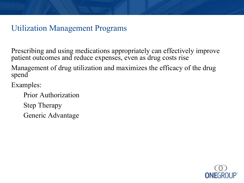### Utilization Management Programs

Prescribing and using medications appropriately can effectively improve patient outcomes and reduce expenses, even as drug costs rise

Management of drug utilization and maximizes the efficacy of the drug spend

Examples:

Prior Authorization

Step Therapy

Generic Advantage

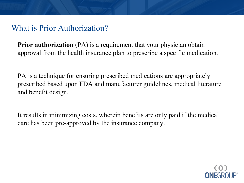### What is Prior Authorization?

**Prior authorization** (PA) is a requirement that your physician obtain approval from the health insurance plan to prescribe a specific medication.

PA is a technique for ensuring prescribed medications are appropriately prescribed based upon FDA and manufacturer guidelines, medical literature and benefit design.

It results in minimizing costs, wherein benefits are only paid if the medical care has been pre-approved by the insurance company.

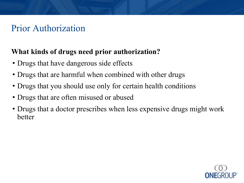### Prior Authorization

#### **What kinds of drugs need prior authorization?**

- Drugs that have dangerous side effects
- Drugs that are harmful when combined with other drugs
- Drugs that you should use only for certain health conditions
- Drugs that are often misused or abused
- Drugs that a doctor prescribes when less expensive drugs might work better

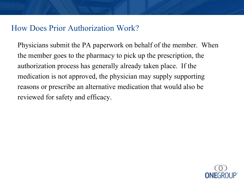#### How Does Prior Authorization Work?

Physicians submit the PA paperwork on behalf of the member. When the member goes to the pharmacy to pick up the prescription, the authorization process has generally already taken place. If the medication is not approved, the physician may supply supporting reasons or prescribe an alternative medication that would also be reviewed for safety and efficacy.

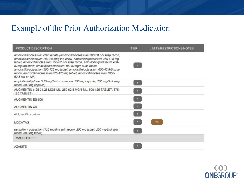### Example of the Prior Authorization Medication

| PRODUCT DESCRIPTION                                                                                                                                                                                                                                                                                                                                                                                                                                                                                   | <b>TIER</b>             | LIMITS/RESTRICTIONS/NOTES |
|-------------------------------------------------------------------------------------------------------------------------------------------------------------------------------------------------------------------------------------------------------------------------------------------------------------------------------------------------------------------------------------------------------------------------------------------------------------------------------------------------------|-------------------------|---------------------------|
| amoxicillin/potassium clavulanate (amoxicillin/potassium 200-28.5/5 susp recon,<br>amoxicillin/potassium 200-28.5mg tab chew, amoxicillin/potassium 250-125 mg<br>tablet, amoxicillin/potassium 250-62.5/5 susp recon, amoxicillin/potassium 400-<br>57mg tab chew, amoxicillin/potassium 400-57mg/5 susp recon,<br>amoxicillin/potassium 500-125 mg tablet, amoxicillin/potassium 600-42.9/5 susp<br>recon, amoxicillin/potassium 875-125 mg tablet, amoxicillin/potassium 1000-<br>62.5 tab er 12h) | $-1$                    |                           |
| ampicillin trihydrate (125 mg/5ml susp recon, 250 mg capsule, 250 mg/5ml susp<br>recon, 500 mg capsule)                                                                                                                                                                                                                                                                                                                                                                                               | $\mathbf{1}$            |                           |
| AUGMENTIN (125-31.25 MG/5 ML, 250-62.5 MG/5 ML, 500-125 TABLET, 875-<br>125 TABLET)                                                                                                                                                                                                                                                                                                                                                                                                                   |                         |                           |
| AUGMENTIN ES-600                                                                                                                                                                                                                                                                                                                                                                                                                                                                                      | $\sqrt{3}$              |                           |
| <b>AUGMENTIN XR</b>                                                                                                                                                                                                                                                                                                                                                                                                                                                                                   | $\overline{\mathbf{3}}$ |                           |
| dicloxacillin sodium                                                                                                                                                                                                                                                                                                                                                                                                                                                                                  | a.                      |                           |
| <b>MOXATAG</b>                                                                                                                                                                                                                                                                                                                                                                                                                                                                                        | $\overline{\mathbf{3}}$ | <b>PA</b>                 |
| penicillin v potassium (125 mg/5ml soln recon, 250 mg tablet, 250 mg/5ml soln<br>recon, 500 mg tablet)                                                                                                                                                                                                                                                                                                                                                                                                | 61.                     |                           |
| <b>MACROLIDES</b>                                                                                                                                                                                                                                                                                                                                                                                                                                                                                     |                         |                           |
| <b>AZASITE</b>                                                                                                                                                                                                                                                                                                                                                                                                                                                                                        |                         |                           |

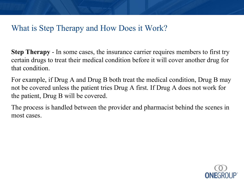### What is Step Therapy and How Does it Work?

**Step Therapy** - In some cases, the insurance carrier requires members to first try certain drugs to treat their medical condition before it will cover another drug for that condition.

For example, if Drug A and Drug B both treat the medical condition, Drug B may not be covered unless the patient tries Drug A first. If Drug A does not work for the patient, Drug B will be covered.

The process is handled between the provider and pharmacist behind the scenes in most cases.

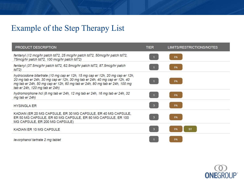### Example of the Step Therapy List

| <b>PRODUCT DESCRIPTION</b>                                                                                                                                                                                                                                                   | <b>TIER</b>             | <b>LIMITS/RESTRICTIONS/NOTES</b> |
|------------------------------------------------------------------------------------------------------------------------------------------------------------------------------------------------------------------------------------------------------------------------------|-------------------------|----------------------------------|
| fentanyl (12 mcg/hr patch td72, 25 mcg/hr patch td72, 50mcg/hr patch td72,<br>75mcg/hr patch td72, 100 mcg/hr patch td72)                                                                                                                                                    |                         | PA                               |
| fentanyl (37.5mcg/hr patch td72, 62.5mcg/hr patch td72, 87.5mcg/hr patch<br>td72)                                                                                                                                                                                            |                         | <b>PA</b>                        |
| hydrocodone bitartrate (10 mg cap er 12h, 15 mg cap er 12h, 20 mg cap er 12h,<br>20 mg tab er 24h, 30 mg cap er 12h, 30 mg tab er 24h, 40 mg cap er 12h, 40<br>mg tab er 24h, 50 mg cap er 12h, 60 mg tab er 24h, 80 mg tab er 24h, 100 mg<br>tab er 24h, 120 mg tab er 24h) |                         | <b>PA</b>                        |
| hydromorphone hcl (8 mg tab er 24h, 12 mg tab er 24h, 16 mg tab er 24h, 32<br>mg tab er 24h)                                                                                                                                                                                 |                         | PA                               |
| <b>HYSINGLA ER</b>                                                                                                                                                                                                                                                           | $\mathbf{3}$            | <b>PA</b>                        |
| KADIAN (ER 20 MG CAPSULE, ER 30 MG CAPSULE, ER 40 MG CAPSULE,<br>ER 50 MG CAPSULE, ER 60 MG CAPSULE, ER 80 MG CAPSULE, ER 100<br>MG CAPSULE, ER 200 MG CAPSULE)                                                                                                              | 3                       | <b>PA</b>                        |
| KADIAN ER 10 MG CAPSULE                                                                                                                                                                                                                                                      | $\overline{\mathbf{3}}$ | <b>ST</b><br>PA                  |
| levorphanol tartrate 2 mg tablet                                                                                                                                                                                                                                             |                         | PA                               |

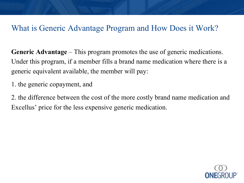#### What is Generic Advantage Program and How Does it Work?

**Generic Advantage** – This program promotes the use of generic medications. Under this program, if a member fills a brand name medication where there is a generic equivalent available, the member will pay:

1. the generic copayment, and

2. the difference between the cost of the more costly brand name medication and Excellus' price for the less expensive generic medication.

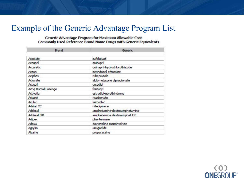#### Example of the Generic Advantage Program List

Generic Advantage Program for Maximum Allowable Cost Commonly Used Reference Brand Name Drugs with Generic Equivalents

| Brand                | Generic                       |  |  |
|----------------------|-------------------------------|--|--|
| Accolate             | zafirlukast                   |  |  |
| Accupril             | quinapril                     |  |  |
| Accuretic            | quinapril-hydrochlorothiazide |  |  |
| Aceon                | perindopril erbumine          |  |  |
| Aciphex              | rabeprazole                   |  |  |
| Aclovate             | alclometasone dipropionate    |  |  |
| Actigal              | ursodiol                      |  |  |
| Actiq Buccal Lozenge | fentanyl                      |  |  |
| Activella            | estradiol-norethindrone       |  |  |
| Actonel              | risedronate                   |  |  |
| Acular               | ketorolac                     |  |  |
| Adalat CC            | nifedipine er                 |  |  |
| Adderall             | amphetamine-dextroamphetamine |  |  |
| Adderall XR          | amphetamine-dextroamphet ER   |  |  |
| Adipex               | phentermine                   |  |  |
| Adoxa                | doxycycline monohydrate       |  |  |
| Agrylin              | anagrelide                    |  |  |
| Alcaine              | proparacaine                  |  |  |